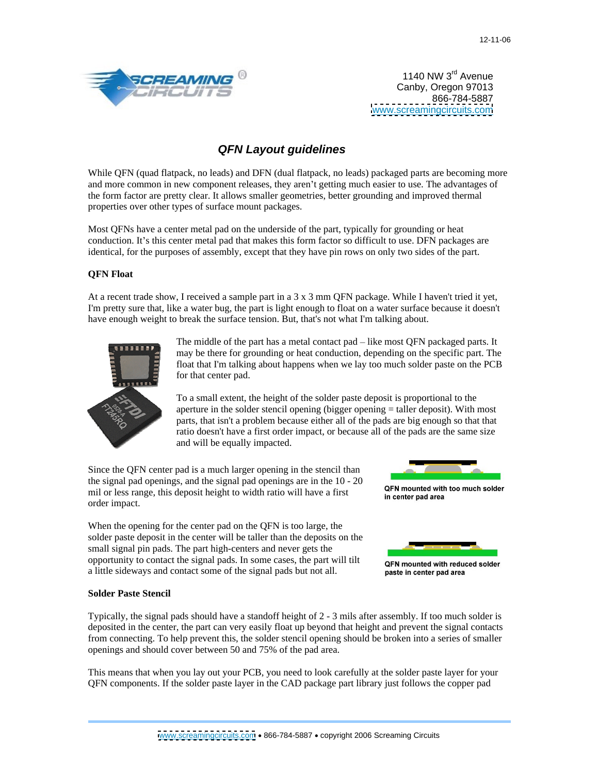

1140 NW 3<sup>rd</sup> Avenue Canby, Oregon 97013 866-784-5887 [www.screamingcircuits.com](http://www.screamingcircuits.com)

# **QFN Layout guidelines**

While QFN (quad flatpack, no leads) and DFN (dual flatpack, no leads) packaged parts are becoming more and more common in new component releases, they aren't getting much easier to use. The advantages of the form factor are pretty clear. It allows smaller geometries, better grounding and improved thermal properties over other types of surface mount packages.

Most QFNs have a center metal pad on the underside of the part, typically for grounding or heat conduction. It's this center metal pad that makes this form factor so difficult to use. DFN packages are identical, for the purposes of assembly, except that they have pin rows on only two sides of the part.

# **QFN Float**

At a recent trade show, I received a sample part in a 3 x 3 mm QFN package. While I haven't tried it yet, I'm pretty sure that, like a water bug, the part is light enough to float on a water surface because it doesn't have enough weight to break the surface tension. But, that's not what I'm talking about.



The middle of the part has a metal contact pad  $-$  like most QFN packaged parts. It may be there for grounding or heat conduction, depending on the specific part. The float that I'm talking about happens when we lay too much solder paste on the PCB for that center pad.

To a small extent, the height of the solder paste deposit is proportional to the aperture in the solder stencil opening (bigger opening = taller deposit). With most parts, that isn't a problem because either all of the pads are big enough so that that ratio doesn't have a first order impact, or because all of the pads are the same size and will be equally impacted.

Since the QFN center pad is a much larger opening in the stencil than the signal pad openings, and the signal pad openings are in the  $10 - 20$ <br>mil and see nones, this dense it beight to width using will have a first. mil or less range, this deposit height to width ratio will have a first **EXPN** mounted with order impact.



When the opening for the center pad on the QFN is too large, the solder paste deposit in the center will be taller than the deposits on the small signal pin pads. The part high-centers and never gets the opportunity to contact the signal pads. In some cases, the part will tilt **QFN** mounted with reduced solder a little sideways and contact some of the signal pads but not all.



### **Solder Paste Stencil**

Typically, the signal pads should have a standoff height of 2 - 3 mils after assembly. If too much solder is deposited in the center, the part can very easily float up beyond that height and prevent the signal contacts from connecting. To help prevent this, the solder stencil opening should be broken into a series of smaller openings and should cover between 50 and 75% of the pad area.

This means that when you lay out your PCB, you need to look carefully at the solder paste layer for your QFN components. If the solder paste layer in the CAD package part library just follows the copper pad